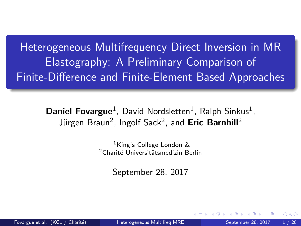<span id="page-0-0"></span>Heterogeneous Multifrequency Direct Inversion in MR Elastography: A Preliminary Comparison of Finite-Difference and Finite-Element Based Approaches

> Daniel Fovargue<sup>1</sup>, David Nordsletten<sup>1</sup>, Ralph Sinkus<sup>1</sup>, Jürgen Braun<sup>2</sup>, Ingolf Sack<sup>2</sup>, and Eric Barnhill<sup>2</sup>

> > <sup>1</sup>King's College London & <sup>2</sup>Charité Universitätsmedizin Berlin

> > > September 28, 2017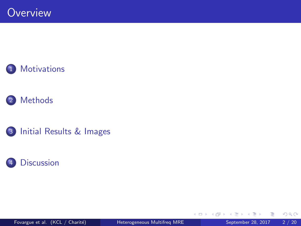



3 [Initial Results & Images](#page-13-0)



4 0 8

→ 何 ▶

≈  $\sim$  $\mathcal{A}$  活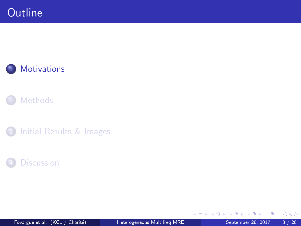<span id="page-2-0"></span>







Fovargue et al. (KCL / Charité) **[Heterogeneous Multifreq MRE](#page-0-0)** September 28, 2017 3 / 20

 $\leftarrow$   $\Box$ 

4 何 ▶ × ∍ 活

× 一 一 三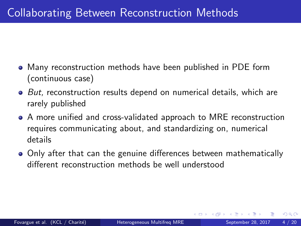- Many reconstruction methods have been published in PDE form (continuous case)
- But, reconstruction results depend on numerical details, which are rarely published
- A more unified and cross-validated approach to MRE reconstruction requires communicating about, and standardizing on, numerical details
- Only after that can the genuine differences between mathematically different reconstruction methods be well understood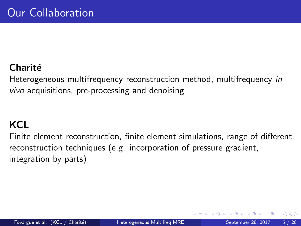#### **Charité**

Heterogeneous multifrequency reconstruction method, multifrequency in vivo acquisitions, pre-processing and denoising

### **KCL**

Finite element reconstruction, finite element simulations, range of different reconstruction techniques (e.g. incorporation of pressure gradient, integration by parts)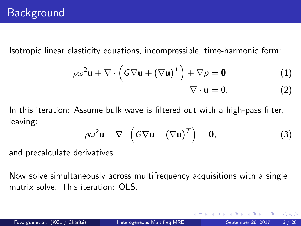Isotropic linear elasticity equations, incompressible, time-harmonic form:

$$
\rho \omega^2 \mathbf{u} + \nabla \cdot (\mathbf{G} \nabla \mathbf{u} + (\nabla \mathbf{u})^T) + \nabla \rho = \mathbf{0}
$$
 (1)

$$
\nabla \cdot \mathbf{u} = 0, \tag{2}
$$

In this iteration: Assume bulk wave is filtered out with a high-pass filter, leaving:

<span id="page-5-0"></span>
$$
\rho \omega^2 \mathbf{u} + \nabla \cdot (\mathbf{G} \nabla \mathbf{u} + (\nabla \mathbf{u})^T) = \mathbf{0},
$$
 (3)

and precalculate derivatives.

Now solve simultaneously across multifrequency acquisitions with a single matrix solve. This iteration: OLS.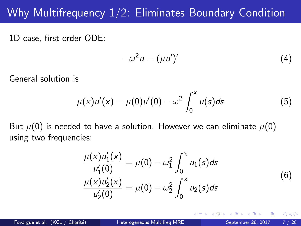# Why Multifrequency 1/2: Eliminates Boundary Condition

1D case, first order ODE:

$$
-\omega^2 u = (\mu u')'
$$
 (4)

General solution is

$$
\mu(x)u'(x) = \mu(0)u'(0) - \omega^2 \int_0^x u(s)ds
$$
 (5)

But  $\mu(0)$  is needed to have a solution. However we can eliminate  $\mu(0)$ using two frequencies:

$$
\frac{\mu(x)u'_1(x)}{u'_1(0)} = \mu(0) - \omega_1^2 \int_0^x u_1(s)ds
$$
  

$$
\frac{\mu(x)u'_2(x)}{u'_2(0)} = \mu(0) - \omega_2^2 \int_0^x u_2(s)ds
$$
 (6)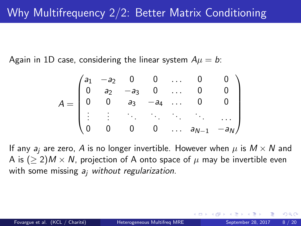Again in 1D case, considering the linear system  $A\mu = b$ :

$$
A = \begin{pmatrix} a_1 & -a_2 & 0 & 0 & \dots & 0 & 0 \\ 0 & a_2 & -a_3 & 0 & \dots & 0 & 0 \\ 0 & 0 & a_3 & -a_4 & \dots & 0 & 0 \\ \vdots & \vdots & \ddots & \ddots & \ddots & \ddots & \vdots \\ 0 & 0 & 0 & 0 & \dots & a_{N-1} & -a_N \end{pmatrix}
$$

If any  $a_i$  are zero, A is no longer invertible. However when  $\mu$  is  $M \times N$  and A is  $(\geq 2)M \times N$ , projection of A onto space of  $\mu$  may be invertible even with some missing  $a_i$  without regularization.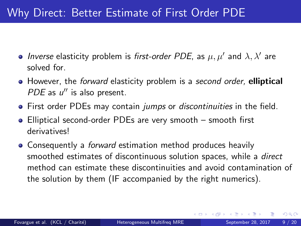# <span id="page-8-0"></span>Why Direct: Better Estimate of First Order PDE

- Inverse elasticity problem is first-order PDE, as  $\mu, \mu'$  and  $\lambda, \lambda'$  are solved for.
- However, the forward elasticity problem is a second order, elliptical PDE as  $u''$  is also present.
- **•** First order PDEs may contain *jumps* or *discontinuities* in the field.
- Elliptical second-order PDEs are very smooth smooth first derivatives!
- Consequently a *forward* estimation method produces heavily smoothed estimates of discontinuous solution spaces, while a *direct* method can estimate these discontinuities and avoid contamination of the solution by them (IF accompanied by the right numerics).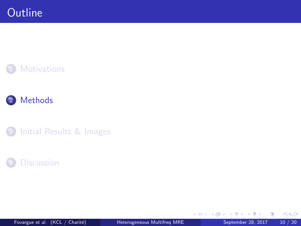<span id="page-9-0"></span>







Fovargue et al. (KCL / Charité) **[Heterogeneous Multifreq MRE](#page-0-0)** September 28, 2017 10 / 20

4 日下 4 母

**D** ∍ × J. 活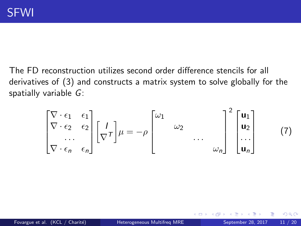<span id="page-10-0"></span>The FD reconstruction utilizes second order difference stencils for all derivatives of [\(3\)](#page-5-0) and constructs a matrix system to solve globally for the spatially variable G:

$$
\begin{bmatrix}\n\nabla \cdot \epsilon_1 & \epsilon_1 \\
\nabla \cdot \epsilon_2 & \epsilon_2 \\
\vdots & \vdots \\
\nabla \cdot \epsilon_n & \epsilon_n\n\end{bmatrix}\n\begin{bmatrix}\nI \\
\nabla T\n\end{bmatrix}\n\mu = -\rho\n\begin{bmatrix}\n\omega_1 & & & \\
& \omega_2 & & \\
& & \dots & \\
& & & \omega_n\n\end{bmatrix}^2\n\begin{bmatrix}\n\mathbf{u}_1 \\
\mathbf{u}_2 \\
\vdots \\
\mathbf{u}_n\n\end{bmatrix}
$$
\n(7)

4 0 8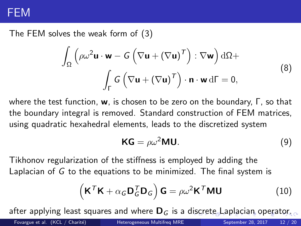### <span id="page-11-0"></span>FEM

The FEM solves the weak form of [\(3\)](#page-5-0)

$$
\int_{\Omega} \left( \rho \omega^2 \mathbf{u} \cdot \mathbf{w} - G \left( \nabla \mathbf{u} + (\nabla \mathbf{u})^{\mathsf{T}} \right) : \nabla \mathbf{w} \right) d\Omega +
$$
\n
$$
\int_{\Gamma} G \left( \nabla \mathbf{u} + (\nabla \mathbf{u})^{\mathsf{T}} \right) \cdot \mathbf{n} \cdot \mathbf{w} d\Gamma = 0,
$$
\n(8)

where the test function, w, is chosen to be zero on the boundary, Γ, so that the boundary integral is removed. Standard construction of FEM matrices, using quadratic hexahedral elements, leads to the discretized system

$$
KG = \rho \omega^2 MU.
$$
 (9)

Tikhonov regularization of the stiffness is employed by adding the Laplacian of G to the equations to be minimized. The final system is

$$
\left(\mathbf{K}^{\mathsf{T}}\mathbf{K} + \alpha_{\mathsf{G}}\mathbf{D}_{\mathsf{G}}^{\mathsf{T}}\mathbf{D}_{\mathsf{G}}\right)\mathbf{G} = \rho\omega^2\mathbf{K}^{\mathsf{T}}\mathbf{M}\mathbf{U}
$$
\n(10)

after applying least squa[re](#page-12-0)s [a](#page-8-0)[n](#page-9-0)d where  $D_G$  is a [disc](#page-10-0)re[t](#page-10-0)[e L](#page-11-0)a[p](#page-8-0)[l](#page-9-0)a[ci](#page-13-0)an [o](#page-13-0)[pe](#page-0-0)[rat](#page-19-0)or.

Fovargue et al. (KCL / Charité) **[Heterogeneous Multifreq MRE](#page-0-0)** September 28, 2017 12 / 20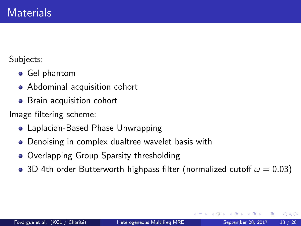<span id="page-12-0"></span>Subjects:

- Gel phantom
- Abdominal acquisition cohort
- **•** Brain acquisition cohort

Image filtering scheme:

- Laplacian-Based Phase Unwrapping
- Denoising in complex dualtree wavelet basis with
- Overlapping Group Sparsity thresholding
- 3D 4th order Butterworth highpass filter (normalized cutoff  $\omega = 0.03$ )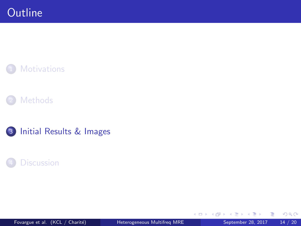<span id="page-13-0"></span>







Fovargue et al. (KCL / Charité) **[Heterogeneous Multifreq MRE](#page-0-0)** September 28, 2017 14 / 20

4 日下

∢母 × ≈ ×  $299$ 

活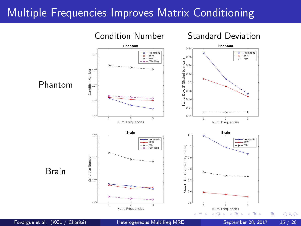# Multiple Frequencies Improves Matrix Conditioning



 $QQ$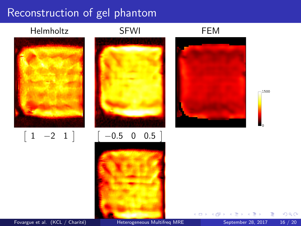## Reconstruction of gel phantom



 $\begin{bmatrix} 1 & -2 & 1 \end{bmatrix}$ 





**∢ ⊡** 

1500

Fovargue et al. (KCL / Charité) **[Heterogeneous Multifreq MRE](#page-0-0)** September 28, 2017 16 / 20

Þ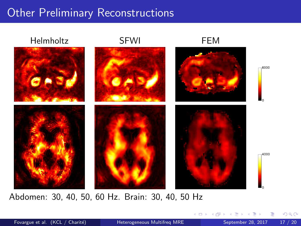# **Other Preliminary Reconstructions**



Abdomen: 30, 40, 50, 60 Hz. Brain: 30, 40, 50 Hz

Fovargue et al. (KCL / Charité) **[Heterogeneous Multifreq MRE](#page-0-0)** September 28, 2017 17 / 20

 $\leftarrow$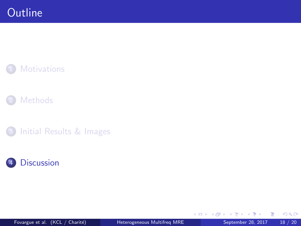<span id="page-17-0"></span>







Fovargue et al. (KCL / Charité) **[Heterogeneous Multifreq MRE](#page-0-0)** September 28, 2017 18 / 20

4 0 8 4 母

**D** ∍ ×  $299$ 

活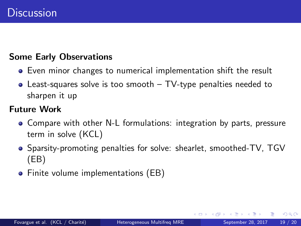#### Some Early Observations

- Even minor changes to numerical implementation shift the result
- Least-squares solve is too smooth TV-type penalties needed to sharpen it up

#### Future Work

- Compare with other N-L formulations: integration by parts, pressure term in solve (KCL)
- Sparsity-promoting penalties for solve: shearlet, smoothed-TV, TGV (EB)
- Finite volume implementations (EB)